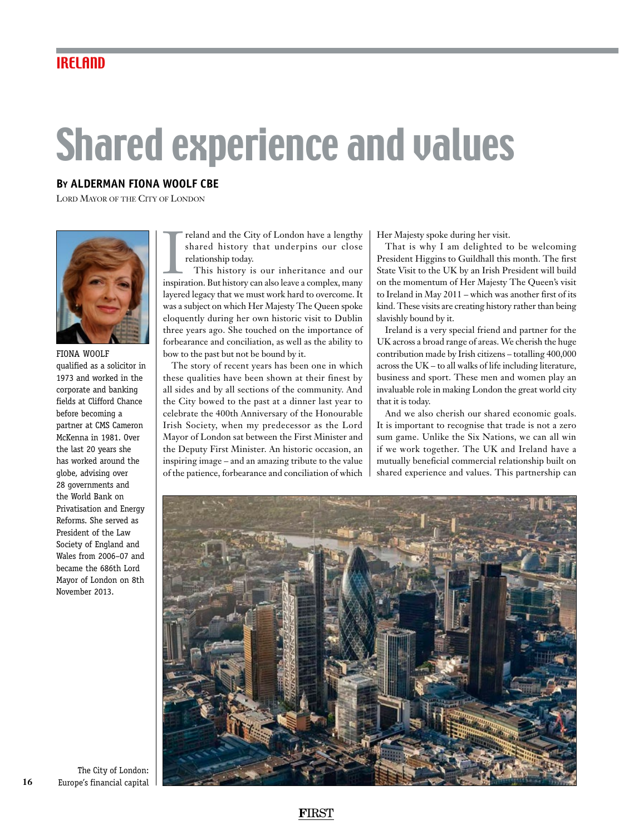## Shared experience and values

## **By ALDERMAN FIONA WOOLF CBE**

Lord Mayor of the City of London



FIONA WOOLF qualified as a solicitor in 1973 and worked in the corporate and banking fields at Clifford Chance before becoming a partner at CMS Cameron McKenna in 1981. Over the last 20 years she has worked around the globe, advising over 28 governments and the World Bank on Privatisation and Energy Reforms. She served as President of the Law Society of England and Wales from 2006–07 and became the 686th Lord Mayor of London on 8th November 2013.

reland and the City of London have a lengthy<br>shared history that underpins our close<br>relationship today.<br>This history is our inheritance and our<br>inspiration. But history can also leave a complex, many reland and the City of London have a lengthy shared history that underpins our close relationship today.

This history is our inheritance and our layered legacy that we must work hard to overcome. It was a subject on which Her Majesty The Queen spoke eloquently during her own historic visit to Dublin three years ago. She touched on the importance of forbearance and conciliation, as well as the ability to bow to the past but not be bound by it.

The story of recent years has been one in which these qualities have been shown at their finest by all sides and by all sections of the community. And the City bowed to the past at a dinner last year to celebrate the 400th Anniversary of the Honourable Irish Society, when my predecessor as the Lord Mayor of London sat between the First Minister and the Deputy First Minister. An historic occasion, an inspiring image – and an amazing tribute to the value of the patience, forbearance and conciliation of which Her Majesty spoke during her visit.

That is why I am delighted to be welcoming President Higgins to Guildhall this month. The first State Visit to the UK by an Irish President will build on the momentum of Her Majesty The Queen's visit to Ireland in May 2011 – which was another first of its kind. These visits are creating history rather than being slavishly bound by it.

Ireland is a very special friend and partner for the UK across a broad range of areas. We cherish the huge contribution made by Irish citizens – totalling 400,000 across the UK – to all walks of life including literature, business and sport. These men and women play an invaluable role in making London the great world city that it is today.

And we also cherish our shared economic goals. It is important to recognise that trade is not a zero sum game. Unlike the Six Nations, we can all win if we work together. The UK and Ireland have a mutually beneficial commercial relationship built on shared experience and values. This partnership can



The City of London: Europe's financial capital

**16**